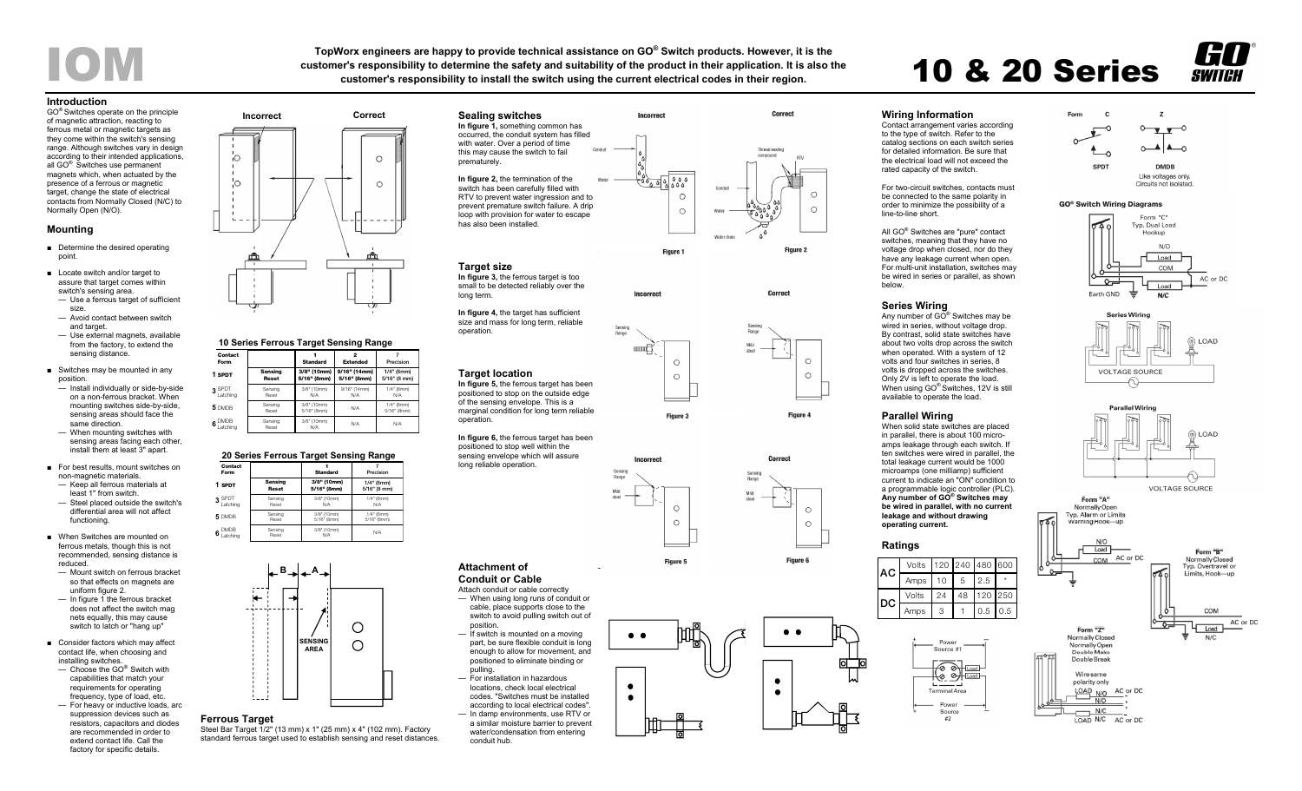TopWorx engineers are happy to provide technical assistance on GO® Switch products. However, it is the<br>customer's responsibility to determine the safety and suitability of the product in their application. It is also the<br>



### **Introduction**

GO® Switches operate on the principle of magnetic attraction, reacting to ferrous metal or magnetic targets as they come within the switch's sensing range. Although switches vary in design according to their intended applications, all GO® Switches use permanent magnets which, when actuated by the presence of a ferrous or magnetic target, change the state of electrical contacts from Normally Closed (N/C) to Normally Open (N/O).

## **Mounting**

- Determine the desired operating point.
- Locate switch and/or target to assure that target comes within switch's sensing area.
- Use a ferrous target of sufficient size. — Avoid contact between switch
- and target.
- Use external magnets, available from the factory, to extend the sensing distance.
- Switches may be mounted in any position.
- Install individually or side-by-side on a non-ferrous bracket. When mounting switches side-by-side, sensing areas should face the same direction.
- When mounting switches with sensing areas facing each other. install them at least 3" apart.
- For best results, mount switches on non-magnetic materials. — Keep all ferrous materials at
- least 1" from switch. — Steel placed outside the switch's differential area will not affect functioning.
- When Switches are mounted on ferrous metals, though this is not recommended, sensing distance is reduced.
- Mount switch on ferrous bracket so that effects on magnets are uniform figure 2.
- In figure 1 the ferrous bracket does not affect the switch mag nets equally, this may cause switch to latch or "hang up"
- Consider factors which may affect contact life, when choosing and installing switches.
- Choose the GO® Switch with capabilities that match your requirements for operating frequency, type of load, etc.
- For heavy or inductive loads, arc suppression devices such as resistors, capacitors and diodes are recommended in order to extend contact life. Call the factory for specific details.



#### **ContactFormStandard2 Extended710 Series Ferrous Target Sensing Range**

| Form                   |                  | Standard                   | Extended                    | Precision                    |
|------------------------|------------------|----------------------------|-----------------------------|------------------------------|
| 1 SPDT                 | Sensina<br>Reset | 3/8" (10mm)<br>5/16" (8mm) | 9/16" (14mm)<br>5/16" (8mm) | $1/4"$ (6mm)<br>5/16" (8 mm) |
| $3$ SPDT<br>Latching   | Sensina<br>Reset | 3/8" (10mm)<br>N/A         | 9/16" (14mm)<br>N/A         | $1/4"$ (6mm)<br>N/A          |
| 5 DMDB                 | Sensina<br>Reset | 3/8" (10mm)<br>5/16" (8mm) | N/A                         | $1/4"$ (6mm)<br>5/16" (8mm)  |
| $6^{$ DMDB<br>Latching | Sensina<br>Reset | 3/8" (10mm)<br>N/A         | N/A                         | N/A                          |

## **20 Series Ferrous Target Sensing Range**

| Contact<br>Form              |                  | <b>Standard</b>    | Precision    |
|------------------------------|------------------|--------------------|--------------|
| 1 SPDT                       | Sensing          | 3/8" (10mm)        | $1/4"$ (6mm) |
|                              | <b>Reset</b>     | 5/16" (8mm)        | 5/16" (8 mm) |
| 3 SPDT                       | Sensing          | 3/8" (10mm)        | $1/4"$ (6mm) |
| Latching                     | Reset            | N/A                | N/A          |
| 5 DMDB                       | Sensing          | 3/8" (10mm)        | $1/4"$ (6mm) |
|                              | Reset            | 5/16" (8mm)        | 5/16" (8mm)  |
| <b>DMDB</b><br>6<br>.atching | Sensing<br>Reset | 3/8" (10mm)<br>N/A | N/A          |



## **Ferrous Target**

Steel Bar Target 1/2" (13 mm) x 1" (25 mm) x 4" (102 mm). Factory standard ferrous target used to establish sensing and reset distances.



**Incorrec** 

**■■【〈** 

 $\circ$ 

 $\circ$ 

## **In figure 3,** the ferrous target is too

small to be detected reliably over the long term.

**In figure 4,** the target has sufficient size and mass for long term, reliable operation.

## **Target location**

**Attachment of Conduit or Cable**  Attach conduit or cable correctly — When using long runs of conduit or cable, place supports close to the switch to avoid pulling switch out of

position.

pulling.

conduit hub.

— If switch is mounted on a moving part, be sure flexible conduit is long enough to allow for movement, and positioned to eliminate binding or

— For installation in hazardous locations, check local electrical codes. "Switches must be installed according to local electrical codes". — In damp environments, use RTV or a similar moisture barrier to prevent water/condensation from entering

**In figure 5,** the ferrous target has been positioned to stop on the outside edge of the sensing envelope. This is a marginal condition for long term reliable operation.

**In figure 6,** the ferrous target has been positioned to stop well within the sensing envelope which will assure long reliable operation.



**Figure 6** 

Correct

 $\circ$ 

 $\circ$ 

 $\circ$ 

 $\circ$ 

Figure 4

 $\bullet$   $\bullet$  $\bullet$ 

# **Wiring Information**

Contact arrangement varies according to the type of switch. Refer to the catalog sections on each switch series for detailed information. Be sure that the electrical load will not exceed the rated capacity of the switch.

For two-circuit switches, contacts must be connected to the same polarity in order to minimize the possibility of a line-to-line short.

All GO® Switches are "pure" contact switches, meaning that they have no voltage drop when closed, nor do they have any leakage current when open. For multi-unit installation, switches may be wired in series or parallel, as shown below.

## **Series Wiring**

Any number of GO® Switches may be wired in series, without voltage drop. By contrast, solid state switches have about two volts drop across the switch when operated. With a system of 12 volts and four switches in series, 8 volts is dropped across the switches. Only 2V is left to operate the load. When using GO<sup>®</sup> Switches, 12V is still available to operate the load.

## **Parallel Wiring**

When solid state switches are placed in parallel, there is about 100 microamps leakage through each switch. If ten switches were wired in parallel, the total leakage current would be 1000 microamps (one milliamp) sufficient current to indicate an "ON" condition to a programmable logic controller (PLC). **Any number of GO® Switches may be wired in parallel, with no current leakage and without drawing operating current.**

## **Ratings**







## **GO<sup>®</sup> Switch Wiring Diagrams**







**VOLTAGE SOURCE** 







Load

 $N/C$ 















 $\bullet$   $\bullet$ 

 $\bullet$